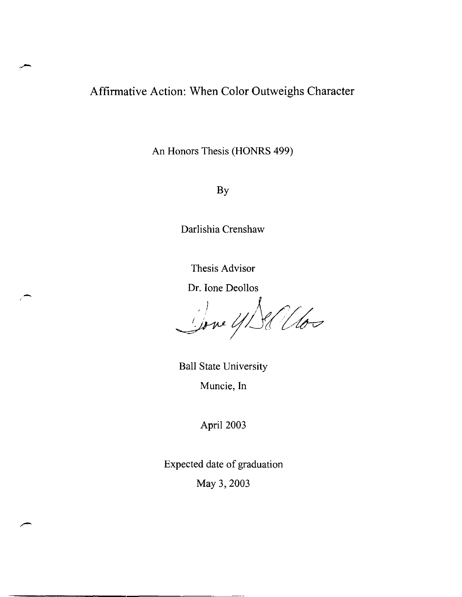# Affirmative Action: When Color Outweighs Character

An Honors Thesis (HONRS 499)

By

Darlishia Crenshaw

Thesis Advisor

Dr. lone Deollos

Done 4/Sellos

Ball State University Muncie, In

April 2003

Expected date of graduation May 3, 2003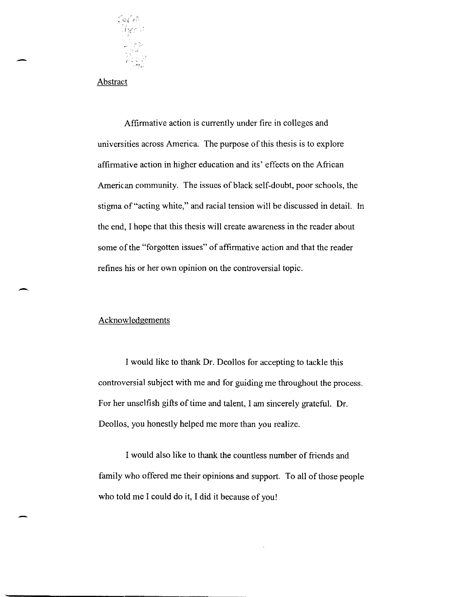

Abstract

-

-

Affinnative action is currently under fire in colleges and universities across America. The purpose of this thesis is to explore affinnative action in higher education and its' effects on the African American community. The issues of black self-doubt, poor schools, the stigma of "acting white," and racial tension will be discussed in detail. In the end, I hope that this thesis will create awareness in the reader about some of the "forgotten issues" of affinnative action and that the reader refines his or her own opinion on the controversial topic.

### Acknowledgements

I would like to thank Dr. Deollos for accepting to tackle this controversial subject with me and for guiding me throughout the process. For her unselfish gifts of time and talent, I am sincerely grateful. Dr. Deollos, you honestly helped me more than you realize.

I would also like to thank the countless number of friends and family who offered me their opinions and support. To all of those people who told me I could do it, I did it because of you!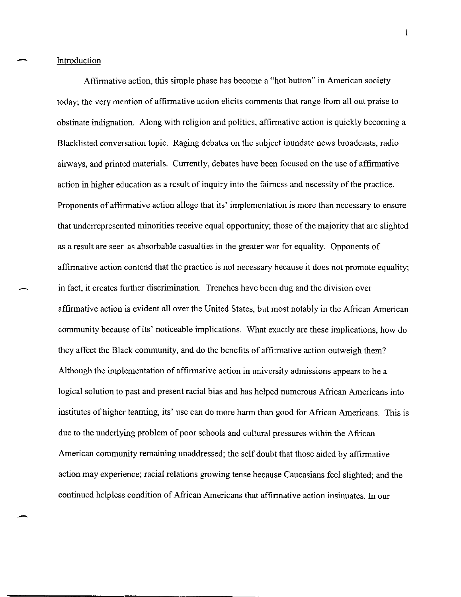-

Affinnative action, this simple phase has become a "hot button" in American society today; the very mention of affinnative action elicits comments that range from all out praise to obstinate indignation. Along with religion and politics, affinnative action is quickly becoming a Blacklisted conversation topic. Raging debates on the subject inundate news broadcasts, radio airways, and printed materials. Currently, debates have been focused on the use of affinnative action in higher education as a result of inquiry into the fairness and necessity of the practice. Proponents of affinnative action allege that its' implementation is more than necessary to ensure that underrepresented minorities receive equal opportunity; those of the majority that are slighted as a result are seen as absorbable casualties in the greater war for equality. Opponents of affinnative action contend that the practice is not necessary because it does not promote equality; in fact, it creates further discrimination. Trenches have been dug and the division over affinnative action is evident all over the United States, but most notably in the African American community because of its' noticeable implications. What exactly are these implications, how do they affect the Black community, and do the benefits of affinnative action outweigh them? Although the implementation of affirmative action in university admissions appears to be a logical solution to past and present racial bias and has helped numerous African Americans into institutes of higher learning, its' use can do more hann than good for African Americans. This is due to the underlying problem of poor schools and cultural pressures within the African American community remaining unaddressed; the self doubt that those aided by affinnative action may experience; racial relations growing tense because Caucasians feel slighted; and the continued helpless condition of African Americans that affinnative action insinuates. In our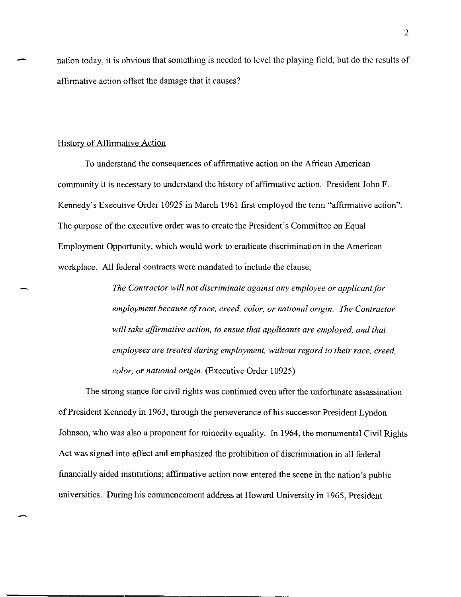nation today, it is obvious that something is needed to level the playing field, but do the results of affirmative action offset the damage that it causes?

#### Historv of Affirmative Action

-

To understand the consequences of affirmative action on the African American community it is m:cessary to understand the history of affirmative action. President John F. Kennedy's Executive Order 10925 in March 1961 first employed the term "affirmative action". The purpose of the executive order was to create the President's Committee on Equal Employment Opportunity, which would work to eradicate discrimination in the American workplace. All federal contracts were mandated to include the clause,

> *The Contractor will not discriminate against any employee or applicant for employment because of race, creed, color, or national origin. The Contractor will take affirmative action, to ensue that applicants are employed, and that employees are treated during employment, without regard to their race, creed, color, or national origin.* (Executive Order 10925)

The strong stance for civil rights was continued even after the unfortunate assassination of President Kennedy in 1963, through the perseverance of his successor President Lyndon Johnson, who was also a proponent for minority equality. In 1964, the monumental Civil Rights Act was signed into effect and emphasized the prohibition of discrimination in all federal financially aided institutions; affirmative action now entered the scene in the nation's public universities. During his commencement address at Howard University in 1965, President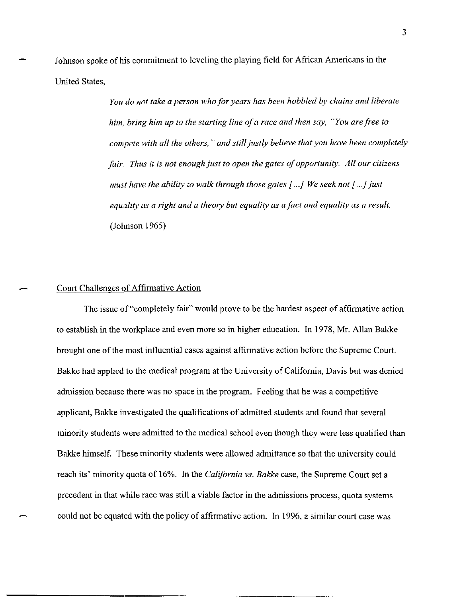Johnson spoke of his commitment to leveling the playing field for African Americans in the United States,

> *You do not take a person who for years has been hobbled by chains and liberate him. bring him up to the starting line of a race and then say, "You are free to compete with all the others,* " *and still justly believe that you have been completely fair. Thus it is not enough just to open the gates of opportunity. All our citizens must have the ability to walk through those gates* [. . .} *We seek not* [. . .} *just equality as a right and a theory but equality as a fact and equality as a result.*  (Johnson 1965)

### Court Challenges of Affirmative Action

The issue of "completely fair" would prove to be the hardest aspect of affirmative action to establish in the workplace and even more so in higher education. In 1978, Mr. Allan Bakke brought one of the most influential cases against affirmative action before the Supreme Court. Bakke had applied to the medical program at the University of California, Davis but was denied admission because there was no space in the program. Feeling that he was a competitive applicant, Bakke investigated the qualifications of admitted students and found that several minority students were admitted to the medical school even though they were less qualified than Bakke himself. These minority students were allowed admittance so that the university could reach its' minority quota of 16%. In the *California vs. Bakke* case, the Supreme Court set a precedent in that while race was still a viable factor in the admissions process, quota systems could not be equated with the policy of affirmative action. In 1996, a similar court case was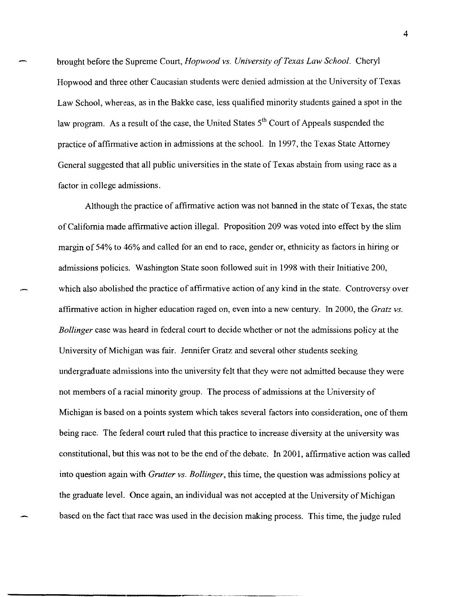brought before the Supreme Court, *Hopwood vs. University of Texas Law School.* Cheryl Hopwood and three other Caucasian students were denied admission at the University of Texas Law School, whereas, as in the Bakke case, less qualified minority students gained a spot in the law program. As a result of the case, the United States  $5<sup>th</sup>$  Court of Appeals suspended the practice of affirmative action in admissions at the school. In 1997, the Texas State Attorney General suggested that all public universities in the state of Texas abstain from using race as a factor in college admissions.

Although the practice of affirmative action was not banned in the state of Texas, the state of California made affirmative action illegal. Proposition 209 was voted into effect by the slim margin of 54% to 46% and called for an end to race, gender or, ethnicity as factors in hiring or admissions policies. Washington State soon followed suit in 1998 with their Initiative 200, which also abolished the practice of affirmative action of any kind in the state. Controversy over affirmative action in higher education raged on, even into a new century. In 2000, the *Gratz vs. Bollinger* case was heard in federal court to decide whether or not the admissions policy at the University of Michigan was fair. Jennifer Gratz and several other students seeking undergraduate admissions into the university felt that they were not admitted because they were not members of a racial minority group. The process of admissions at the University of Michigan is based on a points system which takes several factors into consideration, one of them being race. The federal court ruled that this practice to increase diversity at the university was constitutional, but this was not to be the end of the debate. In 2001, affirmative action was called into question again with *Grutter vs. Bollinger*, this time, the question was admissions policy at the graduate level. Once again, an individual was not accepted at the University of Michigan based on the fact that race was used in the decision making process. This time, the judge ruled

4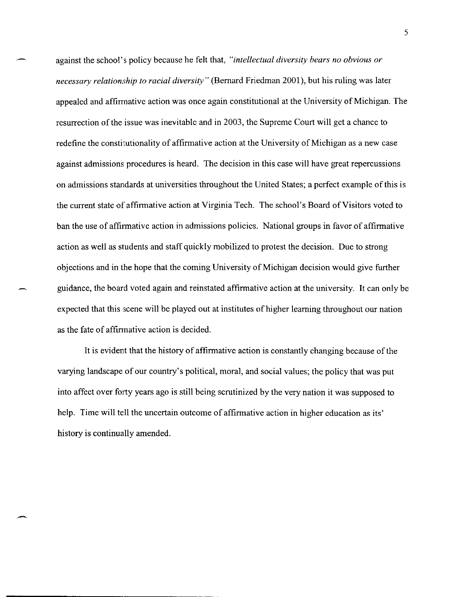against the school's policy because he felt that, *"intellectual diversity bears no obvious or necessary relationship to racial diversity"* (Bernard Friedman 2001), but his ruling was later appealed and affirmative action was once again constitutional at the University of Michigan. The resurrection of the issue was inevitable and in 2003, the Supreme Court will get a chance to redefine the constitutionality of affirmative action at the University of Michigan as a new case against admissions procedures is heard. The decision in this case will have great repercussions on admissions standards at universities throughout the United States; a perfect example of this is the current state of affirmative action at Virginia Tech. The school's Board of Visitors voted to ban the use of affirmative action in admissions policies. National groups in favor of affirmative action as well as students and staff quickly mobilized to protest the decision. Due to strong objections and in the hope that the coming University of Michigan decision would give further guidance, the board voted again and reinstated affirmative action at the university. It can only be expected that this scene will be played out at institutes of higher learning throughout our nation as the fate of affirmative action is decided.

It is evident that the history of affirmative action is constantly changing because of the varying landscape of our country's political, moral, and social values; the policy that was put into affect over forty years ago is still being scrutinized by the very nation it was supposed to help. Time will tell the uncertain outcome of affirmative action in higher education as its' history is continually amended.

-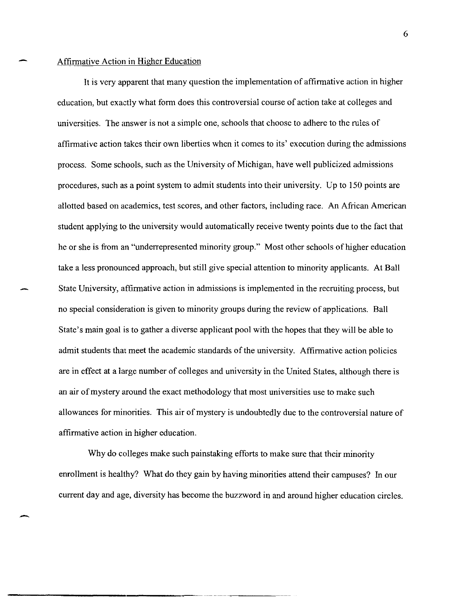#### Affirmative Action in Higher Education

-

It is very apparent that many question the implementation of affirmative action in higher education, but exactly what form does this controversial course of action take at colleges and universities. The answer is not a simple one, schools that choose to adhere to the rules of affirmative action takes their own liberties when it comes to its' execution during the admissions process. Some schools, such as the University of Michigan, have well publicized admissions procedures, such as a point system to admit students into their university. Up to 150 points are allotted based on academics, test scores, and other factors, including race. An African American student applying to the university would automatically receive twenty points due to the fact that he or she is from an "underrepresented minority group." Most other schools of higher education take a less pronounced approach, but still give special attention to minority applicants. At Ball State University, affirmative action in admissions is implemented in the recruiting process, but no special consideration is given to minority groups during the review of applications. Ball State's main goal is to gather a diverse applicant pool with the hopes that they will be able to admit students that meet the academic standards of the university. Affirmative action policies are in effect at a large number of colleges and university in the United States, although there is an air of mystery around the exact methodology that most universities use to make such allowances for minorities. This air of mystery is undoubtedly due to the controversial nature of affirmative action in higher education.

Why do colleges make such painstaking efforts to make sure that their minority enrollment is healthy? What do they gain by having minorities attend their campuses? In our current day and age, diversity has become the buzzword in and around higher education circles.

6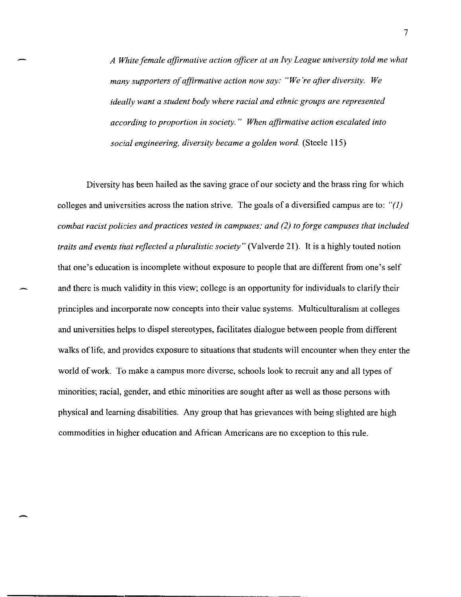*A White female affirmative action officer at an Ivy League university told me what many supporters of affirmative action now say: "We're after diversity. We ideally want a student body where racial and ethnic groups are represented according to proportion* in *society." When affirmative action escalated into social engineering, diversity became a golden word.* (Steele 115)

-

Diversity has been hailed as the saving grace of our society and the brass ring for which colleges and universities across the nation strive. The goals of a diversified campus are to: " $(1)$ *combat racist policies and practices vested* in *campuses; and* (2) *to forge campuses that included traits and events that reflected a pluralistic society"* (Valverde 21). It is a highly touted notion that one's education is incomplete without exposure to people that are different from one's self and there is much validity in this view; college is an opportunity for individuals to clarify their principles and incorporate now concepts into their value systems. Multiculturalism at colleges and universities helps to dispel stereotypes, facilitates dialogue between people from different walks of life, and provides exposure to situations that students will encounter when they enter the world of work. To make a campus more diverse, schools look to recruit any and all types of minorities; racial, gender, and ethic minorities are sought after as well as those persons with physical and learning disabilities. Any group that has grievances with being slighted are high commodities in higher education and African Americans are no exception to this rule.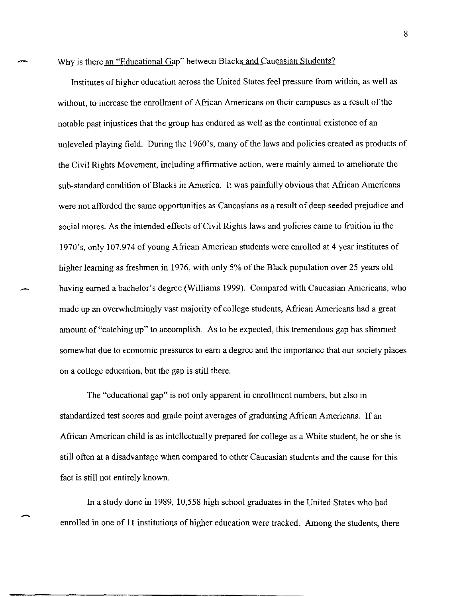#### Why is there an "Educational Gap" between Blacks and Caucasian Students?

Institutes of higher education across the United States feel pressure from within, as well as without, to increase the emollment of African Americans on their campuses as a result of the notable past injustices that the group has endured as well as the continual existence of an unleveled playing field. During the 1960's, many of the laws and policies created as products of the Civil Rights Movement, including affirmative action, were mainly aimed to ameliorate the sub-standard condition of Blacks in America. It was painfully obvious that African Americans were not afforded the same opportunities as Caucasians as a result of deep seeded prejudice and social mores. As the intended effects of Civil Rights laws and policies came to fruition in the 1970's, only 107,974 of young African American students were emolled at 4 year institutes of higher learning as freshmen in 1976, with only 5% of the Black population over 25 years old having earned a bachelor's degree (Williams 1999). Compared with Caucasian Americans, who made up an overwhelmingly vast majority of college students, African Americans had a great amount of "catching up" to accomplish. As to be expected, this tremendous gap has slimmed somewhat due to economic pressures to earn a degree and the importance that our society places on a college education, but the gap is still there.

The "educational gap" is not only apparent in emollment numbers, but also in standardized test scores and grade point averages of graduating African Americans. If an African American child is as intellectually prepared for college as a White student, he or she is still often at a disadvantage when compared to other Caucasian students and the cause for this fact is still not entirely known.

In a study done in 1989, 10,558 high school graduates in the United States who had enrolled in one of 11 institutions of higher education were tracked. Among the students, there

8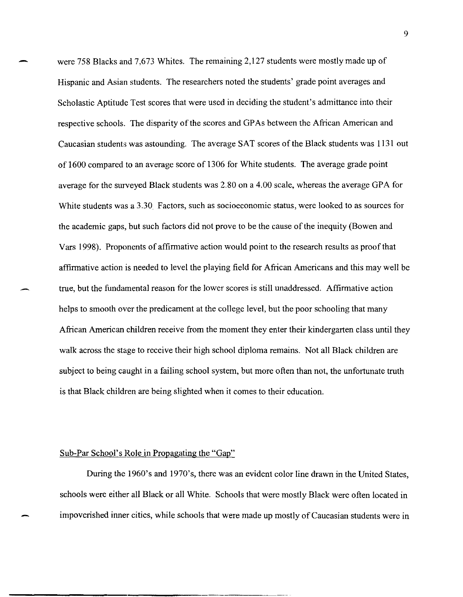were 758 Blacks and 7,673 Whites. The remaining 2,127 students were mostly made up of Hispanic and Asian students. The researchers noted the students' grade point averages and Scholastic Aptitude Test scores that were used in deciding the student's admittance into their respective schools. The disparity of the scores and GPAs between the African American and Caucasian students was astounding. The average SAT scores of the Black students was 1131 out of 1600 compared to an average score of 1306 for White students. The average grade point average for the surveyed Black students was 2.80 on a 4.00 scale, whereas the average GPA for White students was a 3.30. Factors, such as socioeconomic status, were looked to as sources for the academic gaps, but such factors did not prove to be the cause of the inequity (Bowen and Vars 1998). Proponents of affirmative action would point to the research results as proof that affirmative action is needed to level the playing field for African Americans and this may well be true, but the fundamental reason for the lower scores is still unaddressed. Affirmative action helps to smooth over the predicament at the college level, but the poor schooling that many African American children receive from the moment they enter their kindergarten class until they walk across the stage to receive their high school diploma remains. Not all Black children are subject to being caught in a failing school system, but more often than not, the unfortunate truth is that Black children are being slighted when it comes to their education.

#### Sub-Par School's Role in Propagating the "Gap"

During the 1960's and 1970's, there was an evident color line drawn in the United States, schools were either all Black or all White. Schools that were mostly Black were often located in impoverished inner cities, while schools that were made up mostly of Caucasian students were in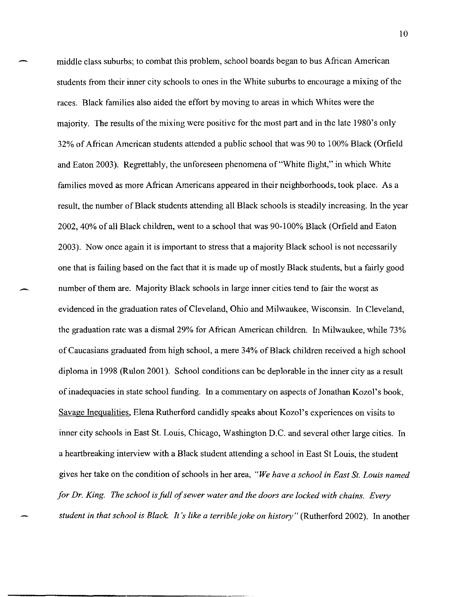middle class suburbs; to combat this problem, school boards began to bus African American students from their inner city schools to ones in the White suburbs to encourage a mixing of the races. Black families also aided the effort by moving to areas in which Whites were the majority. The results of the mixing were positive for the most part and in the late 1980's only 32% of African American students attended a public school that was 90 to 100% Black (Orfield and Eaton 2003). Regrettably, the unforeseen phenomena of "White flight," in which White families moved as more African Americans appeared in their neighborhoods, took place. As a result, the number of Black students attending all Black schools is steadily increasing. In the year 2002,40% of all Black children, went to a school that was 90-100% Black (Orfield and Eaton 2003). Now once again it is important to stress that a majority Black school is not necessarily one that is failing based on the fact that it is made up of mostly Black students, but a fairly good number of them are. Majority Black schools in large inner cities tend to fair the worst as evidenced in the graduation rates of Cleveland, Ohio and Milwaukee, Wisconsin. In Cleveland, the graduation rate was a dismal 29% for African American children. In Milwaukee, while 73% of Caucasians graduated from high school, a mere 34% of Black children received a high school diploma in 1998 (Rulon 2001). School conditions can be deplorable in the inner city as a result of inadequacies in state school funding. In a commentary on aspects of Jonathan Kozol's book, Savage Inequalities, Elena Rutherford candidly speaks about Kozol's experiences on visits to inner city schools in East St. Louis, Chicago, Washington D.C. and several other large cities. In a heartbreaking interview with a Black student attending a school in East St Louis, the student gives her take on the condition of schools in her area, *"We have a school in East St. Louis named for Dr. King. The school is full of sewer water and the doors are locked with chains. Every student in that school is Black. It's like a terrible joke on history"* (Rutherford 2002). In another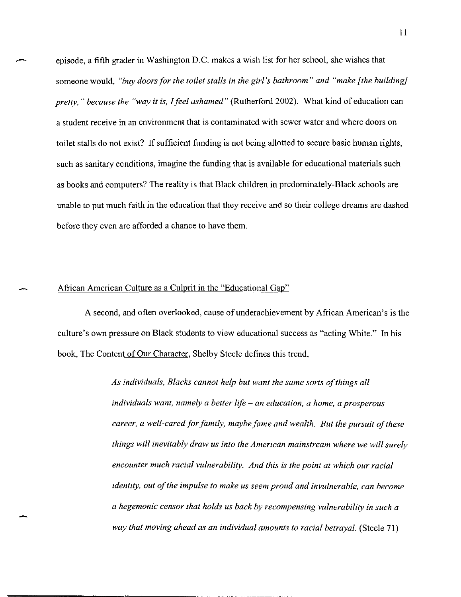episode, a fifth grader in Washington D.C. makes a wish list for her school, she wishes that someone would, *"buy doors for the toilet stalls in the girl's bathroom" and "make [the building] pretty,* " *because the "way it is, I feel ashamed"* (Rutherford 2002). What kind of education can a student receive in an environment that is contaminated with sewer water and where doors on toilet stalls do not exist? If sufficient funding is not being allotted to secure basic human rights, such as sanitary conditions, imagine the funding that is available for educational materials such as books and computers? The reality is that Black children in predominately-Black schools are unable to put much faith in the education that they receive and so their college dreams are dashed before they even are afforded a chance to have them.

## African American Culture as a Culprit in the "Educational Gap"

A second, and often overlooked, cause of underachievement by African American's is the culture's own pressure on Black students to view educational success as "acting White." In his book, The Content of Our Character, Shelby Steele defines this trend,

> *As individuals, Blacks cannot help but want the same sorts of things all individuals want, namely a better life* - *an education, a home, a prosperous career, a well-eared-for family, maybe fame and wealth. But the pursuit of these things will inevitably draw us into the American mainstream where we will surely encounter much racial vulnerability. And this* is *the point at which our racial identity, out of the impulse to make us seem proud and invulnerable, can become a hegemonic censor that holds us back by recompensing vulnerability in such a way that moving ahead as an individual amounts to racial betrayal.* (Steele 71)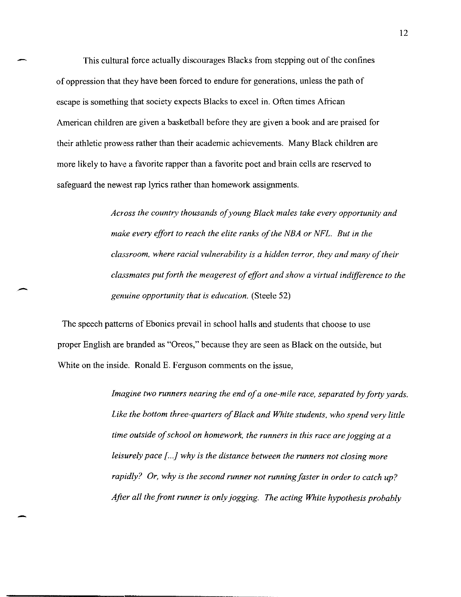This cultural force actually discourages Blacks from stepping out of the confines of oppression that they have been forced to endure for generations, unless the path of escape is something that society expects Blacks to excel in. Often times African American children are given a basketball before they are given a book and are praised for their athletic prowess rather than their academic achievements. Many Black children are more likely to have a favorite rapper than a favorite poet and brain cells are reserved to safeguard the newest rap lyrics rather than homework assignments.

> *Across the country thousands of young Black males take every opportunity and make every effort to reach the elite ranks of the NBA or NFL. But in the classroom, where racial vulnerability* is *a hidden terror, they and many of their classmates put forth the meagerest of effort and show a virtual indifference to the genuine opportunity that* is *education.* (Steele 52)

The speech pattems of Ebonics prevail in school halls and students that choose to use proper English are branded as "Oreos," because they are seen as Black on the outside, but White on the inside. Ronald E. Ferguson comments on the issue,

--

*Imagine two runners nearing the end of a one-mile race, separated by forty yards. Like the bottom three-quarters of Black and White students, who spend very little time outside of school on homework, the runners* in *this race are jogging at a leisurely pace [...]* why is the distance between the runners not closing more *rapidly? Or, why* is *the second runner not running faster* in *order to catch up? After all the front runner* is *only jogging. The acting White hypothesis probably*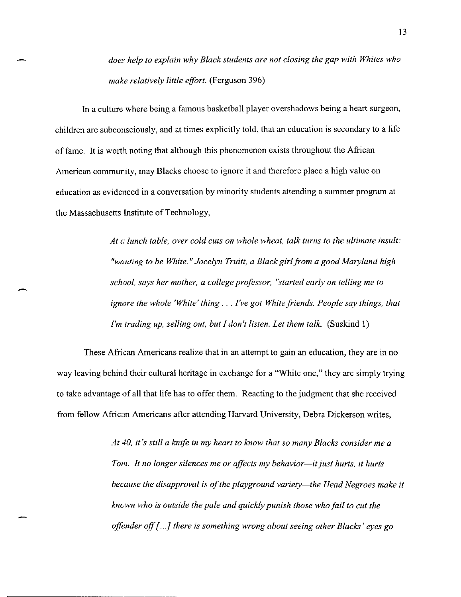*does help to explain why Black students are not closing the gap with Whites who make relatively little effort.* (Ferguson 396)

In a culture where being a famous basketball player overshadows being a heart surgeon, children are subconsciously, and at times explicitly told, that an education is secondary to a life of fame. It is worth noting that although this phenomenon exists throughout the African American community, may Blacks choose to ignore it and therefore place a high value on education as evidenced in a conversation by minority students attending a summer program at the Massachusetts Institute of Technology,

-

-

*At a lunch table, over cold cuts on whole wheat, talk turns to the ultimate insult: "wanting to be White.* " *Jocelyn Truitt, a Black girl from a good Maryland high school, says her mother, a college professor, "started early on telling me to ignore the whole 'White' thing .* .. *I've got White friends. People say things, that I'm trading up, selling out, but I don't listen. Let them talk.* (Suskind 1)

These African Americans realize that in an attempt to gain an education, they are in no way leaving behind their cultural heritage in exchange for a "White one," they are simply trying to take advantage of all that life has to offer them. Reacting to the judgment that she received from fellow African Americans after attending Harvard University, Debra Dickerson writes,

> *At 40, it's still a knife in my heart to know that so many Blacks consider me a Tom. It no longer silences me or affects my behavior—it just hurts, it hurts because the disapproval* is *of the playground variety-the Head Negroes make* it *known who* is *outside the pale and quickly punish those who fail to cut the offimder off* [. . .} *there* is *something wrong about seeing other Blacks' eyes go*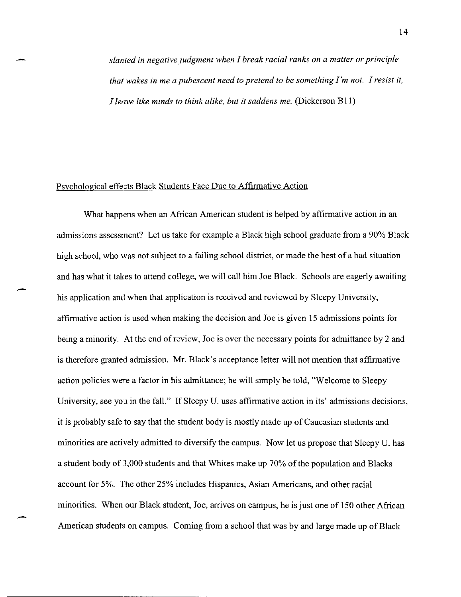*slanted in negative judgment when* f *break racial ranks on a matter or principle that wakes in me a pubescent need to pretend to be something I'm not. I resist it, I leave like minds to think alike, but it saddens me.* (Dickerson B11)

#### Psychological effects Black Students Face Due to Affirmative Action

-

What happens when an African American student is helped by affirmative action in an admissions assessment? Let us take for example a Black high school graduate from a 90% Black high school, who was not subject to a failing school district, or made the best of a bad situation and has what it takes to attend college, we will call him Joe Black. Schools are eagerly awaiting his application and when that application is received and reviewed by Sleepy University, affirmative action is used when making the decision and Joe is given 15 admissions points for being a minority. At the end of review, Joe is over the necessary points for admittance by 2 and is therefore granted admission. Mr. Black's acceptance letter will not mention that affirmative action policies were a factor in his admittance; he will simply be told, "Welcome to Sleepy University, see you in the fall." If Sleepy U. uses affirmative action in its' admissions decisions, it is probably safe to say that the student body is mostly made up of Caucasian students and minorities are actively admitted to diversify the campus. Now let us propose that Sleepy U. has a student body of 3,000 students and that Whites make up 70% of the population and Blacks account for 5%. The other 25% includes Hispanics, Asian Americans, and other racial minorities. When our Black student, Joe, arrives on campus, he is just one of ISO other African American students on campus. Coming from a school that was by and large made up of Black

- -- --~- - ------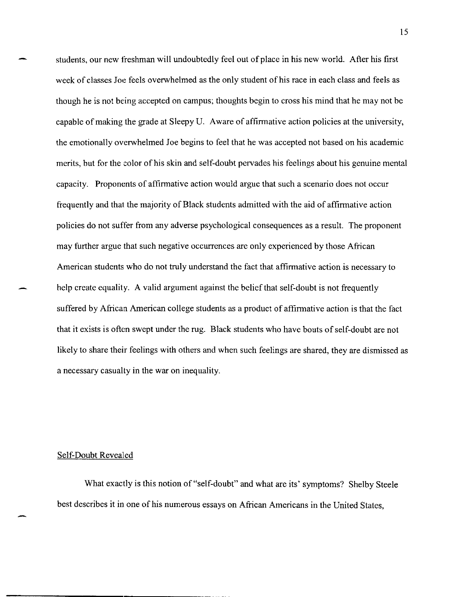students, our new freshman will undoubtedly feel out of place in his new world. After his first week of classes Joe feels overwhelmed as the only student of his race in each class and feels as though he is not being accepted on campus; thoughts begin to cross his mind that he may not be capable of making the grade at Sleepy U. Aware of affirmative action policies at the university, the emotionally overwhelmed Joe begins to feel that he was accepted not based on his academic merits, but for the color of his skin and self-doubt pervades his feelings about his genuine mental capacity. Proponents of affirmative action would argue that such a scenario does not occur frequently and that the majority of Black students admitted with the aid of affirmative action policies do not suffer from any adverse psychological consequences as a result. The proponent may further argue that such negative occurrences are only experienced by those African American students who do not truly understand the fact that affirmative action is necessary to help create equality. A valid argument against the belief that self-doubt is not frequently suffered by Africaa American college students as a product of affirmative action is that the fact that it exists is often swept under the rug. Black students who have bouts of self-doubt are not likely to share their feelings with others and when such feelings are shared, they are dismissed as a necessary casualty in the war on inequality.

#### Self-Doubt Revealed

What exactly is this notion of "self-doubt" and what are its' symptoms? Shelby Steele best describes it in one of his numerous essays on African Americans in the United States,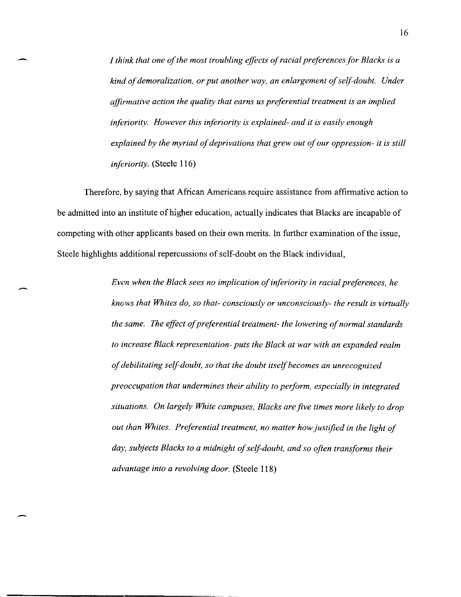*I think that one of the most troubling effects of racial preferences for Blacks* is *a kind of demoralization, or put another way, an enlargement of self-doubt. Under affirmative action the quality that earns us preferential treatment* is *an implied inferiority. However this inferiority is explained- and it* is *easily enough explained by the myriad of deprivations that grew out of our oppression- it* is *still inferiority.* (Steele 116)

Therefore, by saying that African Americans require assistance from affirmative action to be admitted into an institute of higher education, actually indicates that Blacks are incapable of competing with other applicants based on their own merits. **In** further examination of the issue, Steele highlights additional repercussions of self-doubt on the Black individual,

> *Even when the Black sees no implication of inferiority in racial preferences, he knows that Whites do, so that- consciously or unconsciously- the result* is *virtually the same. The effect of preferential treatment- the lowering of normal standards to increase Black representation- puts the Black at war with an expanded realm of debilitating self-doubt, so that the doubt itself becomes an unrecognized preoccupation that undermines their ability to perform, especially in integrated situations. On largely White campuses, Blacks are jive times more likely to drop out than Whites. Preferential treatment, no matter how justified in the light of day, subjects Blacks to a midnight of self-doubt, and so often transforms their advantage into a revolving door.* (Steele 118)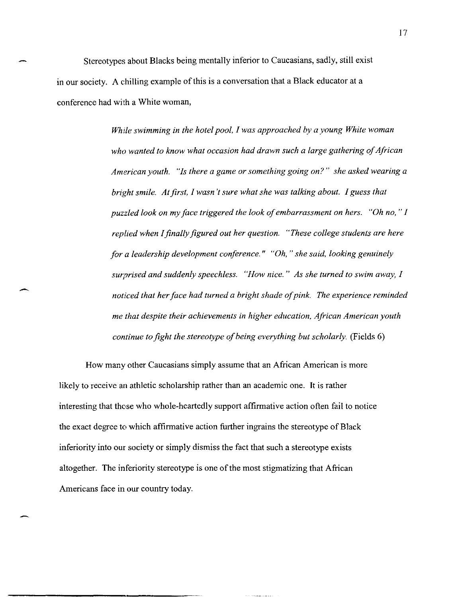Stereotypes about Blacks being mentally inferior to Caucasians, sadly, still exist in our society. A chilling example of this is a conversation that a Black educator at a conference had with a White woman,

> *While swimming in the hotel pool, I was approached by a young White woman who wanted to know what occasion had drawn such a large gathering of African American youth. "Is there a game or something going on?" she asked wearing a bright smile. At first, I wasn't sure what she was talking about. I guess that puzzled look on my face triggered the look of embarrassment on hers. "Oh no,* " *I replied when I finally figured out her question. "These college students are here for a leadership development conference." "Oh,* " *she said, looking genuinely surprised and suddenly speechless. "How nice." As she turned to swim away, I noticed that her face had turned a bright shade of pink. The experience reminded me that despite their achievements in higher education, African American youth continue to fight the stereotype of being everything but scholarly.* (Fields 6)

How many other Caucasians simply assume that an African American is more likely to receive an athletic scholarship rather than an academic one. It is rather interesting that those who whole-heartedly support affirmative action often fail to notice the exact degree to which affirmative action further ingrains the stereotype of Black inferiority into our society or simply dismiss the fact that such a stereotype exists altogether. The inferiority stereotype is one of the most stigmatizing that African Americans face in our country today.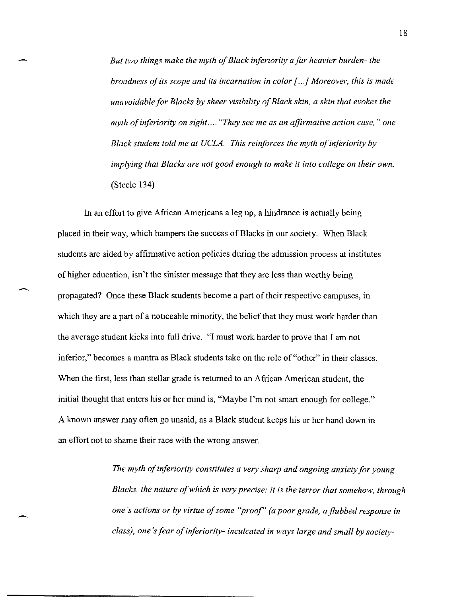*But two things make the myth of Black inferiority a far heavier burden- the broadness of its scope and its incarnation* in *color* [. . .] *Moreover, this* is *made unavoidable for Blacks by sheer visibility of Black skin, a skin that evokes the myth of inferiority on sight .... "They see me as an affirmative action case,* " *one Black student told me at UCLA. This reinforces the myth of inferiority by implying that Blacks are not good enough to make* it *into college on their own.*  (Steele 134)

In an effort to give African Americans a leg up, a hindrance is actually being placed in their way, which hampers the success of Blacks in our society. When Black students are aided by affinnative action policies during the admission process at institutes of higher education, isn't the sinister message that they are less than worthy being propagated? Once these Black students become a part of their respective campuses, in which they are a part of a noticeable minority, the belief that they must work harder than the average student kicks into full drive. "I must work harder to prove that I am not inferior," becomes a mantra as Black students take on the role of "other" in their classes. When the first, less than stellar grade is returned to an African American student, the initial thought that enters his or her mind is, "Maybe I'm not smart enough for college." A known answer may often go unsaid, as a Black student keeps his or her hand down in an effort not to shame their race with the wrong answer.

> *The myth of inferiority constitutes a very sharp and ongoing anxiety for young Blacks, the nature of which* is *very precise:* it is *the terror that somehow, through one's actions or by virtue of some "proof" (a poor grade, a flubbed response in class), one's fear of inferiority- inculcated in ways large and small by society-*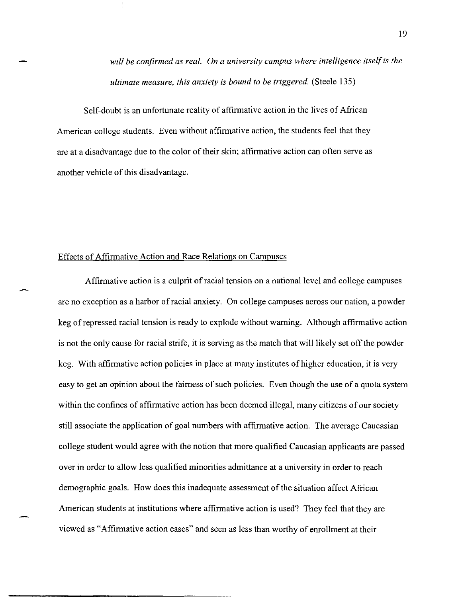*will be confirmed as real. On a university campus where intelligence itself is the ultimate measure, this anxiety* is *bound to be triggered.* (Steele 135)

Self-doubt is an unfortunate reality of affinnative action in the lives of African American college students. Even without affinnative action, the students feel that they are at a disadvantage due to the color of their skin; affinnative action can often serve as another vehicle of this disadvantage.

#### Effects of Affinnative Action and Race Relations on Campuses

Affinnative action is a CUlprit of racial tension on a national level and college campuses are no exception as a harbor of racial anxiety. On college campuses across our nation, a powder keg of repressed racial tension is ready to explode without warning. Although affinnative action is not the only cause for racial strife, it is serving as the match that will likely set off the powder keg. With affinnative action policies in place at many institutes of higher education, it is very easy to get an opinion about the fairness of such policies. Even though the use of a quota system within the confines of affirmative action has been deemed illegal, many citizens of our society still associate the application of goal numbers with affirmative action. The average Caucasian college student would agree with the notion that more qualified Caucasian applicants are passed over in order to allow less qualified minorities admittance at a university in order to reach demographic goals. How does this inadequate assessment of the situation affect African American students at institutions where affinnative action is used? They feel that they are viewed as "Affinnative action cases" and seen as less than worthy of enrollment at their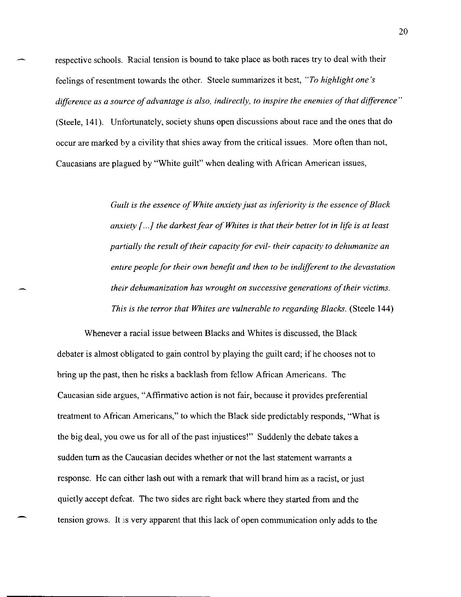respective schools. Racial tension is bound to take place as both races try to deal with their feelings of resentment towards the other. Steele summarizes it best, *"To highlight one's difference as a source of advantage* is *also, indirectly, to inspire the enemies of that difference"*  (Steele, 141). Unfortunately, society shuns open discussions about race and the ones that do occur are marked by a civility that shies away from the critical issues. More often than not, Caucasians are plagued by "White guilt" when dealing with African American issues,

> *Guilt* is *the essence of White anxiety just as inferiority* is *the essence of Black anxiety* {. . .} *the darkest fear of Whites* is *that their better lot in life* is *at least partially the result of their capacity for evil- their capacity to dehumanize an entire people for their own benefit and then to be indifferent to the devastation their dehumanization has wrought on successive generations of their victims. This* is *the terror that Whites are vulnerable to regarding Blacks.* (Steele 144)

Whenever a racial issue between Blacks and Whites is discussed, the Black debater is almost obligated to gain control by playing the guilt card; ifhe chooses not to bring up the past, then he risks a backlash from fellow African Americans. The Caucasian side argues, "Affirmative action is not fair, because it provides preferential treatment to African Americans," to which the Black side predictably responds, "What is the big deal, you owe us for all of the past injustices!" Suddenly the debate takes a sudden turn as the Caucasian decides whether or not the last statement warrants a response. He can either lash out with a remark that will brand him as a racist, or just quietly accept defeat. The two sides are right back where they started from and the tension grows. It :is very apparent that this lack of open communication only adds to the

**-------------------------** ------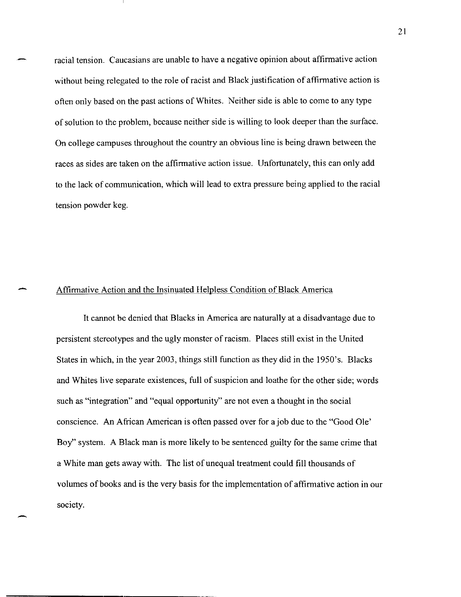racial tension. Caucasians are unable to have a negative opinion about affirmative action without being relegated to the role of racist and Black justification of affirmative action is often only based on the past actions of Whites. Neither side is able to come to any type of solution to the problem, because neither side is willing to look deeper than the surface. On college campuses throughout the country an obvious line is being drawn between the races as sides are taken on the affirmative action issue. Unfortunately, this can only add to the lack of communication, which will lead to extra pressure being applied to the racial tension powder keg.

### Affirmative Action and the Insinuated Helpless Condition of Black America

It cannot be denied that Blacks in America are naturally at a disadvantage due to persistent stereotypes and the ugly monster of racism. Places still exist in the United States in which, in the year 2003, things still function as they did in the 1950's. Blacks and Whites live separate existences, full of suspicion and loathe for the other side; words such as "integration" and "equal opportunity" are not even a thought in the social conscience. An African American is often passed over for a job due to the "Good Ole' Boy" system. A Black man is more likely to be sentenced guilty for the same crime that a White man gets away with. The list of unequal treatment could fill thousands of volumes of books and is the very basis for the implementation of affirmative action in our society.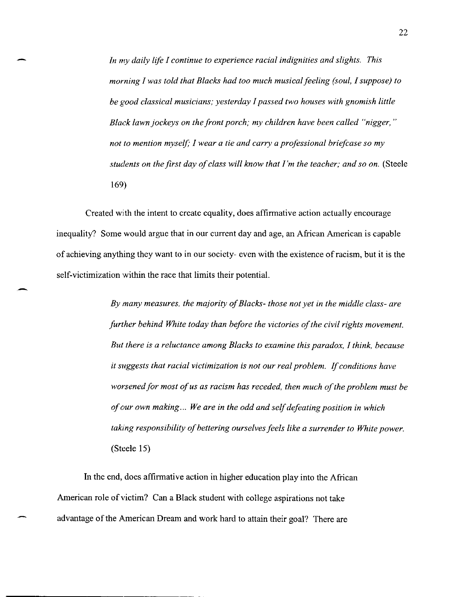*In my daily life I continue to experience racial indignities and slights. This morning I was told that Blacks had too much musical feeling (soul, I suppose) to be good classical musicians; yesterday* 1 *passed two houses with gnomish little Black lawn jockeys on the front porch; my children have been called "nigger, " not to mention myself;* 1 *wear a tie and carry a professional briefcase so my students on the first day of class will know that I'm the teacher; and so on.* (Steele 169)

Created with the intent to create equality, does affirmative action actually encourage inequality? Some would argue that in our current day and age, an African American is capable of achieving anything they want to in our society- even with the existence of racism, but it is the self-victimization within the race that limits their potential.

-

*By many measures. the majority of Blacks- those not yet in the middle class- are further behind White today than before the victories of the civil rights movement. But there is a reluctance among Blacks to examine this paradox,* 1 *think, because it suggests that racial victimization is not our real problem.* If *conditions have*  worsened for most of us as racism has receded, then much of the problem must be *of our own making... We are in the odd and self defeating position in which taking responsibility of bettering ourselves feels like a surrender to White power.*  (Steele 15)

**In** the end, does affirmative action in higher education play into the African American role of victim? Can a Black student with college aspirations not take advantage of the American Dream and work hard to attain their goal? There are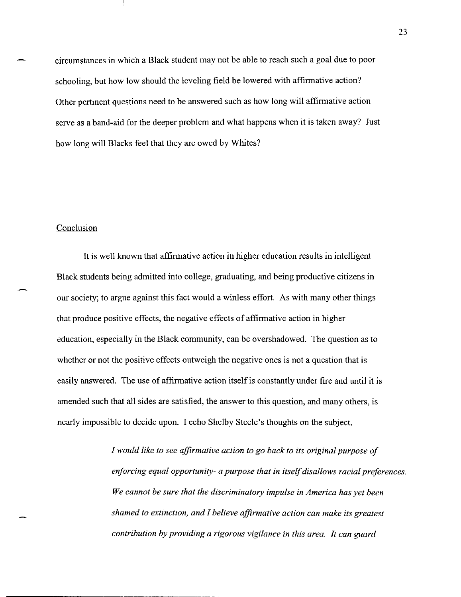circumstances in which a Black student may not be able to reach such a goal due to poor schooling, but how low should the leveling field be lowered with affirmative action? Other pertinent questions need to be answered such as how long will affirmative action serve as a band-aid for the deeper problem and what happens when it is taken away? Just how long will Blacks feel that they are owed by Whites?

#### Conclusion

-

It is well known that affirmative action in higher education results in intelligent Black students being admitted into college, graduating, and being productive citizens in our society; to argue against this fact would a winless effort. As with many other things that produce positive effects, the negative effects of affirmative action in higher education, especially in the Black community, can be overshadowed. The question as to whether or not the positive effects outweigh the negative ones is not a question that is easily answered. The use of affirmative action itself is constantly under fire and until it is amended such that all sides are satisfied, the answer to this question, and many others, is nearly impossible to decide upon. I echo Shelby Steele's thoughts on the subject,

> *I would like to see affirmative action to go back to its original purpose of enforcing equal opportunity- a purpose that in itself disallows racial preferences. We cannot be sure that the discriminatory impulse in America has yet been shamed to extinction, and I believe affirmative action can make its greatest contribution by providing a rigorous vigilance* in *this area. It can guard*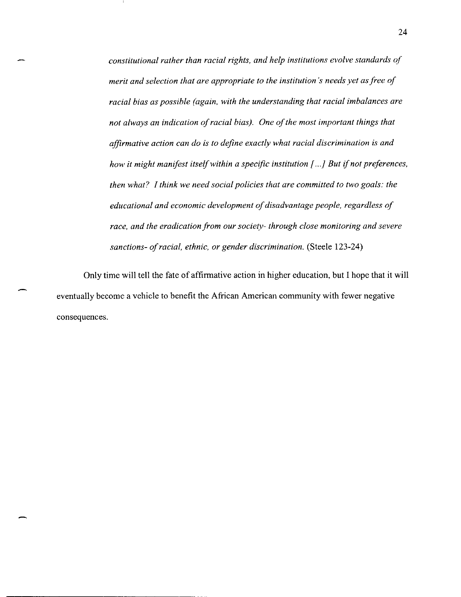*constitutional rather than racial rights, and help institutions evolve standards of merit and selection that are appropriate to the institution's needs yet as free of racial bias as possible (again. with the understanding that racial imbalances are not always an indication of racial bias). One of the most important things that affirmative action can do* is *to define exactly what racial discrimination* is *and how it might manifest itself within a specific institution [...] But if not preferences, then what? I think we need social policies that are committed to two goals: the educational and economic development of disadvantage people. regardless of race, and the eradication from our society- through close monitoring and severe sanctions- of racial, ethnic, or gender discrimination.* (Steele 123-24)

Only time will tell the fate of affirmative action in higher education. but I hope that it will eventually become a vehicle to benefit the African American community with fewer negative consequences.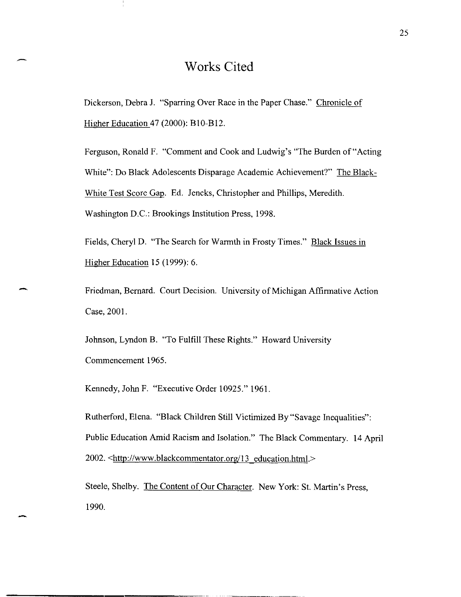## **Works Cited**

Dickerson, Debra J. "Sparring Over Race in the Paper Chase." Chronicle of Higher Education 47 (2000): BIO-BI2.

Ferguson, Ronald F. "Comment and Cook and Ludwig's "The Burden of "Acting White": Do Black Adolescents Disparage Academic Achievement?" The Black-White Test Score Gap. Ed. Jencks, Christopher and Phillips, Meredith. Washington D.C.: Brookings Institution Press, 1998.

Fields, Cheryl D. "The Search for Warmth in Frosty Times." Black Issues in Higher Education 15 (1999): 6.

Friedman, Bernard. Court Decision. University of Michigan Affirmative Action Case, 2001.

Johnson, Lyndon B. "To Fulfill These Rights." Howard University Commencement 1965.

Kennedy, John F. "Executive Order 10925." 1961.

Rutherford, Elena. "Black Children Still Victimized By "Savage Inequalities": Public Education Amid Racism and Isolation." The Black Commentary. 14 April 2002. <http://www.blackcommentator.org/13 education.html.>

Steele, Shelby. The Content of Our Character. New York: St. Martin's Press, 1990.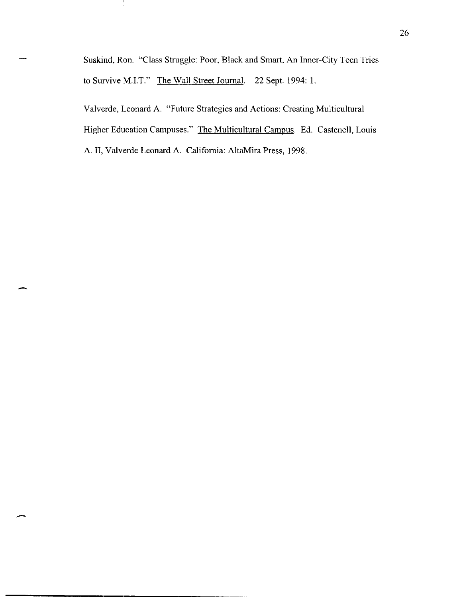Suskind, Ron. "Class Struggle: Poor, Black and Smart, An Inner-City Teen Tries to Survive M.LT." The Wall Street Journal. 22 Sept. 1994: 1.

Ι.

Valverde, Leonard A. "Future Strategies and Actions: Creating Multicultural Higher Education Campuses." The Multicultural Campus. Ed. Castenell, Louis A. **II,** Valverde Leonard A. California: AltaMira Press, 1998.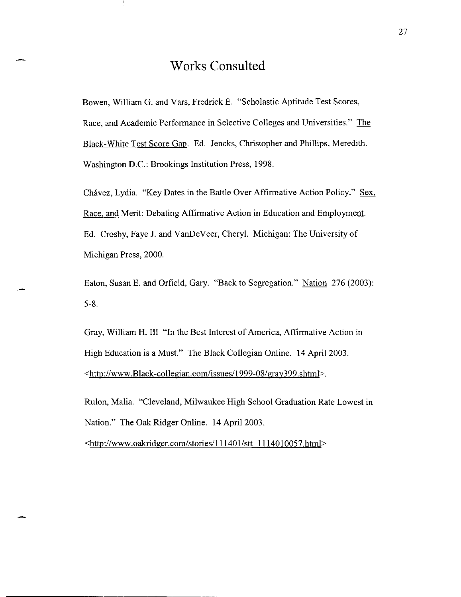## **Works Consulted**

Bowen, William G. and Vars, Fredrick E. "Scholastic Aptitude Test Scores, Race, and Academic Performance in Selective Colleges and Universities." The Black-White Test Score Gap. Ed. Jencks, Christopher and Phillips, Meredith. Washington D.C.: Brookings Institution Press, 1998.

Chávez, Lydia. "Key Dates in the Battle Over Affirmative Action Policy." Sex, Race, and Merit: Debating Affirmative Action in Education and Employment. Ed. Crosby, Faye J. and VanDeVeer, Cheryl. Michigan: The University of Michigan Press, 2000.

Eaton, Susan E. and Orfield, Gary. "Back to Segregation." Nation 276 (2003): 5-8.

Gray, William H. III "In the Best Interest of America, Affirmative Action in High Education is a Must." The Black Collegian Online. 14 April 2003. <http://www.Black-collegian.com/issues/1999-08/gray399.shtml>.

Rulon, Malia. "Cleveland, Milwaukee High School Graduation Rate Lowest in Nation." The Oak Ridger Online. 14 April 2003.

<http://www.oakridger.com/stories/111401/stt 1114010057.html>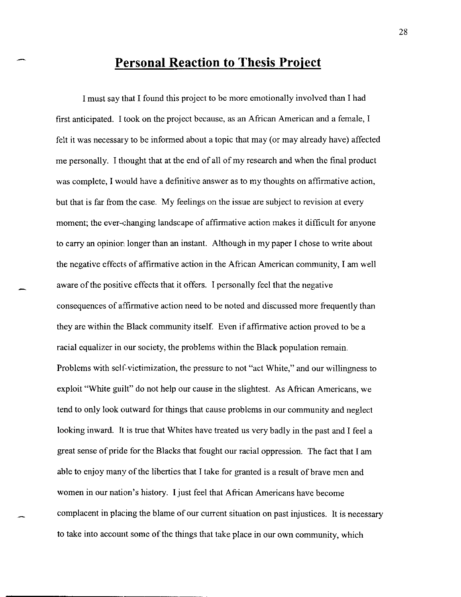## **Personal Reaction to Thesis Project**

I must say that I found this project to be more emotionally involved than I had first anticipated. I took on the project because, as an African American and a female, I felt it was necessary to be informed about a topic that may (or may already have) affected me personally. I thought that at the end of all of my research and when the final product was complete, I would have a definitive answer as to my thoughts on affirmative action, but that is far from the case. My feelings on the issue are subject to revision at every moment; the ever-changing landscape of affirmative action makes it difficult for anyone to carry an opinion longer than an instant. Although in my paper I chose to write about the negative effects of affirmative action in the African American community, I am well aware of the positive effects that it offers. I personally feel that the negative consequences of affirmative action need to be noted and discussed more frequently than they are within the Black community itself. Even if affirmative action proved to be a racial equalizer in our society, the problems within the Black population remain. Problems with self-victimization, the pressure to not "act White," and our willingness to exploit "White guilt" do not help our cause in the slightest. As African Americans, we tend to only look outward for things that cause problems in our community and neglect looking inward. It is true that Whites have treated us very badly in the past and I feel a great sense of pride for the Blacks that fought our racial oppression. The fact that I am able to enjoy many of the liberties that I take for granted is a result of brave men and women in our nation's history. I just feel that African Americans have become complacent in placing the blame of our current situation on past injustices. It is necessary to take into account some of the things that take place in our own community, which

------------,--------------------------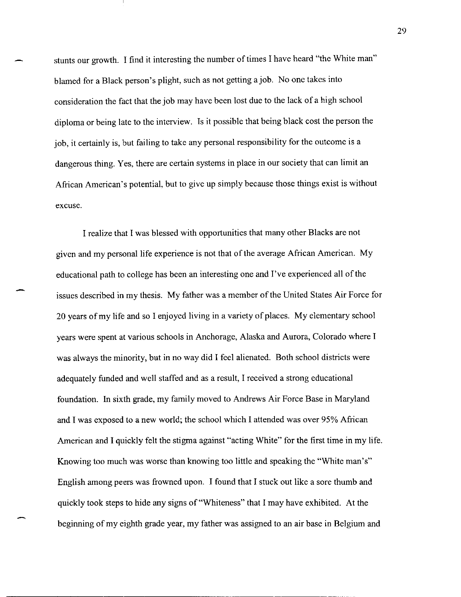stunts our growth. I find it interesting the number of times I have heard "the White man" blamed for a Black person's plight, such as not getting a job. No one takes into consideration the fact that the job may have been lost due to the lack of a high school diploma or being late to the interview. Is it possible that being black cost the person the job, it certainly is, but failing to take any personal responsibility for the outcome is a dangerous thing. Yes, there are certain systems in place in our society that can limit an African American's potential, but to give up simply because those things exist is without excuse.

I realize that I was blessed with opportunities that many other Blacks are not given and my personal life experience is not that of the average African American. My educational path to college has been an interesting one and I've experienced all of the issues described in my thesis. My father was a member of the United States Air Force for 20 years of my life and so I enjoyed living in a variety of places. My elementary school years were spent at various schools in Anchorage, Alaska and Aurora, Colorado where I was always the minority, but in no way did I feel alienated. Both school districts were adequately funded and well staffed and as a result, I received a strong educational foundation. In sixth grade, my family moved to Andrews Air Force Base in Maryland and I was exposed to a new world; the school which I attended was over 95% African American and I quickly felt the stigma against "acting White" for the first time in my life. Knowing too much was worse than knowing too little and speaking the "White man's" English among peers was frowned upon. I found that I stuck out like a sore thumb and quickly took steps to hide any signs of "Whiteness" that I may have exhibited. At the beginning of my eighth grade year, my father was assigned to an air base in Belgium and

29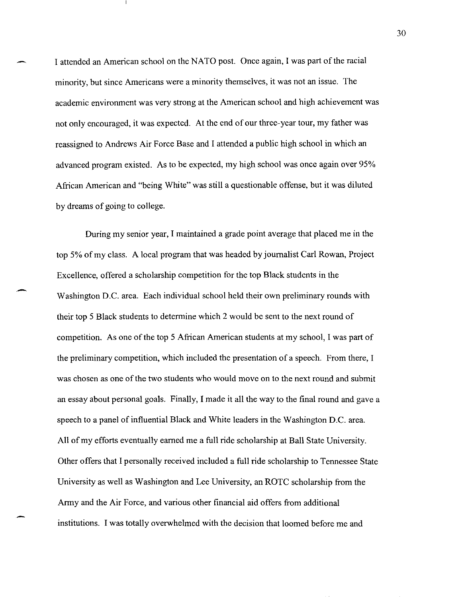I attended an American school on the NATO post. Once again, I was part ofthe racial minority, but since Americans were a minority themselves, it was not an issue. The academic environment was very strong at the American school and high achievement was not only encouraged, it was expected. At the end of our three-year tour, my father was reassigned to Andrews Air Force Base and I attended a public high school in which an advanced program existed. As to be expected, my high school was once again over 95% African American and "being White" was still a questionable offense, but it was diluted by dreams of going to college.

During my senior year, I maintained a grade point average that placed me in the top 5% of my class. A local program that was headed by journalist Carl Rowan, Project Excellence, offered a scholarship competition for the top Black students in the Washington D.C. area. Each individual school held their own preliminary rounds with their top 5 Black students to determine which 2 would be sent to the next round of competition. As one of the top 5 African American students at my school, I was part of the preliminary competition, which included the presentation of a speech. From there, I was chosen as one of the two students who would move on to the next round and submit an essay about personal goals. Finally, I made it all the way to the final round and gave a speech to a panel of influential Black and White leaders in the Washington D.C. area. All of my efforts eventually earned me a full ride scholarship at Ball State University. Other offers that I personally received included a full ride scholarship to Tennessee State University as well as Washington and Lee University, an ROTC scholarship from the Army and the Air Force, and various other financial aid offers from additional institutions. I was totally overwhelmed with the decision that loomed before me and

-

30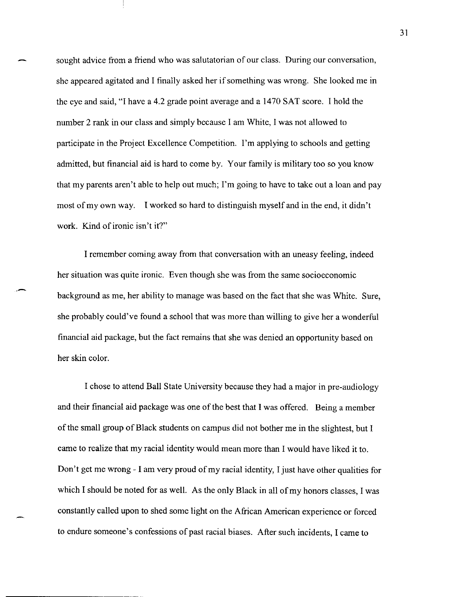sought advice from a friend who was salutatorian of our class. During our conversation, she appeared agitated and 1 finally asked her if something was wrong. She looked me in the eye and said, "1 have a 4.2 grade point average and a 1470 SAT score. 1 hold the number 2 rank in our class and simply because 1 am White, I was not allowed to participate in the Project Excellence Competition. I'm applying to schools and getting admitted, but financial aid is hard to come by. Your family is military too so you know that my parents aren't able to help out much; I'm going to have to take out a loan and pay most of my own way. 1 worked so hard to distinguish myself and in the end, it didn't work. Kind of ironic isn't it?"

1 remember coming away from that conversation with an uneasy feeling, indeed her situation was quite ironic. Even though she was from the same socioeconomic background as me, her ability to manage was based on the fact that she was White. Sure, she probably could've found a school that was more than willing to give her a wonderful financial aid package, but the fact remains that she was denied an opportunity based on her skin color.

1 chose to attend Ball State University because they had a major in pre-audiology and their financial aid package was one of the best that I was offered. Being a member of the small group of Black students on campus did not bother me in the slightest, but 1 came to realize that my racial identity would mean more than 1 would have liked it to. Don't get me wrong - 1 am very proud of my racial identity, 1 just have other qualities for which 1 should be noted for as well. As the only Black in all of my honors classes, 1 was constantly called upon to shed some light on the African American experience or forced to endure someone's confessions of past racial biases. After such incidents, I came to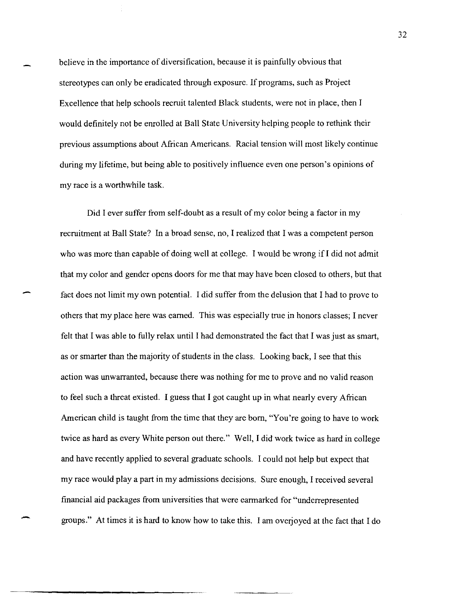believe in the importance of diversification, because it is painfully obvious that stereotypes can only be eradicated through exposure. If programs, such as Project Excellence that help schools recruit talented Black students, were not in place, then I would definitely not be enrolled at Ball State University helping people to rethink their previous assumptions about African Americans. Racial tension will most likely continue during my lifetime, but being able to positively influence even one person's opinions of my race is a worthwhile task.

Did I ever suffer from self-doubt as a result of my color being a factor in my recruitment at Ball State? In a broad sense, no, I realized that I was a competent person who was more than capable of doing well at college. I would be wrong if I did not admit that my color and gender opens doors for me that may have been closed to others, but that fact does not limit my own potential. I did suffer from the delusion that I had to prove to others that my place here was earned. This was especially true in honors classes; I never felt that I was able to fully relax until I had demonstrated the fact that I was just as smart, as or smarter than the majority of students in the class. Looking back, I see that this action was unwarranted, because there was nothing for me to prove and no valid reason to feel such a threat existed. I guess that I got caught up in what nearly every African American child is taught from the time that they are born, "You're going to have to work twice as hard as every White person out there." Well, I did work twice as hard in college and have recently applied to several graduate schools. I could not help but expect that my race would playa part in my admissions decisions. Sure enough, I received several financial aid packages from universities that were earmarked for "underrepresented groups." At times it is hard to know how to take this. I am overjoyed at the fact that I do